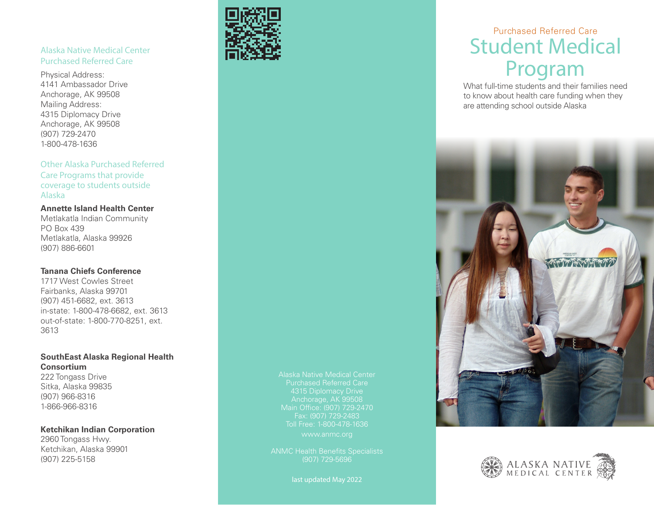### Alaska Native Medical Center Purchased Referred Care

Physical Address: 4141 Ambassador Drive Anchorage, AK 99508 Mailing Address: 4315 Diplomacy Drive Anchorage, AK 99508 (907) 729-2470 1-800-478-1636

### Other Alaska Purchased Referred

Care Programs that provide coverage to students outside Alaska

### **Annette Island Health Center**

Metlakatla Indian Community PO Box 439 Metlakatla, Alaska 99926 (907) 886-6601

#### **Tanana Chiefs Conference**

1717 West Cowles Street Fairbanks, Alaska 99701 (907) 451-6682, ext. 3613 in-state: 1-800-478-6682, ext. 3613 out-of-state: 1-800-770-8251, ext. 3613

### **SouthEast Alaska Regional Health Consortium**

222 Tongass Drive Sitka, Alaska 99835 (907) 966-8316 1-866-966-8316

### **Ketchikan Indian Corporation**

2960 Tongass Hwy. Ketchikan, Alaska 99901 (907) 225-5158



ANMC Health Benefits Specialists (907) 729-5696

last updated May 2022

# Purchased Referred Care Student Medical Program

What full-time students and their families need to know about health care funding when they are attending school outside Alaska